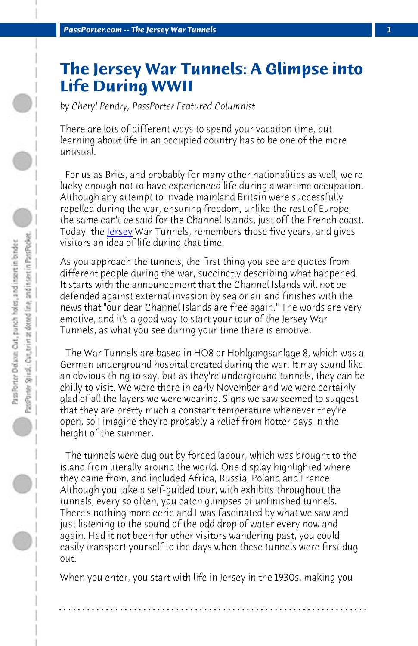*PassPorter.com -- The Jersey War Tunnels 1*

## **The Jersey War Tunnels: A Glimpse into Life During WWII**

*by Cheryl Pendry, PassPorter Featured Columnist*

There are lots of different ways to spend your vacation time, but learning about life in an occupied country has to be one of the more unusual.

 For us as Brits, and probably for many other nationalities as well, we're lucky enough not to have experienced life during a wartime occupation. Although any attempt to invade mainland Britain were successfully repelled during the war, ensuring freedom, unlike the rest of Europe, the same can't be said for the Channel Islands, just off the French coast. Today, the <u>Jersey</u> War Tunnels, remembers those five years, and gives visitors an idea of life during that time.

As you approach the tunnels, the first thing you see are quotes from different people during the war, succinctly describing what happened. It starts with the announcement that the Channel Islands will not be defended against external invasion by sea or air and finishes with the news that "our dear Channel Islands are free again." The words are very emotive, and it's a good way to start your tour of the Jersey War Tunnels, as what you see during your time there is emotive.

 The War Tunnels are based in HO8 or Hohlgangsanlage 8, which was a German underground hospital created during the war. It may sound like an obvious thing to say, but as they're underground tunnels, they can be chilly to visit. We were there in early November and we were certainly glad of all the layers we were wearing. Signs we saw seemed to suggest that they are pretty much a constant temperature whenever they're open, so I imagine they're probably a relief from hotter days in the height of the summer.

 The tunnels were dug out by forced labour, which was brought to the island from literally around the world. One display highlighted where they came from, and included Africa, Russia, Poland and France. Although you take a self-guided tour, with exhibits throughout the tunnels, every so often, you catch glimpses of unfinished tunnels. There's nothing more eerie and I was fascinated by what we saw and just listening to the sound of the odd drop of water every now and again. Had it not been for other visitors wandering past, you could easily transport yourself to the days when these tunnels were first dug out.

When you enter, you start with life in Jersey in the 1930s, making you

**. . . . . . . . . . . . . . . . . . . . . . . . . . . . . . . . . . . . . . . . . . . . . . . . . . . . . . . . . . . . . . . . . .**

 $\bigcirc$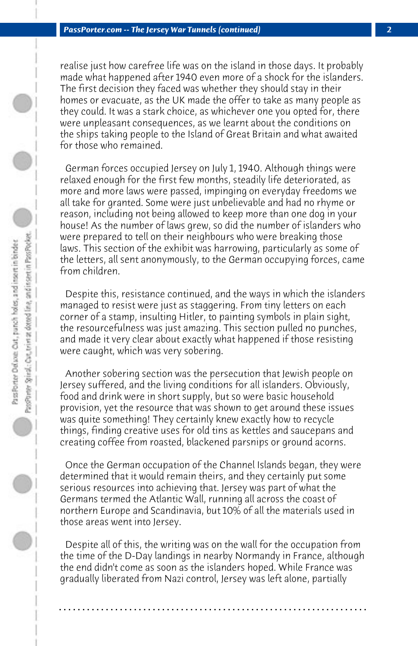realise just how carefree life was on the island in those days. It probably made what happened after 1940 even more of a shock for the islanders. The first decision they faced was whether they should stay in their homes or evacuate, as the UK made the offer to take as many people as they could. It was a stark choice, as whichever one you opted for, there were unpleasant consequences, as we learnt about the conditions on the ships taking people to the Island of Great Britain and what awaited for those who remained.

 German forces occupied Jersey on July 1, 1940. Although things were relaxed enough for the first few months, steadily life deteriorated, as more and more laws were passed, impinging on everyday freedoms we all take for granted. Some were just unbelievable and had no rhyme or reason, including not being allowed to keep more than one dog in your house! As the number of laws grew, so did the number of islanders who were prepared to tell on their neighbours who were breaking those laws. This section of the exhibit was harrowing, particularly as some of the letters, all sent anonymously, to the German occupying forces, came from children.

 Despite this, resistance continued, and the ways in which the islanders managed to resist were just as staggering. From tiny letters on each corner of a stamp, insulting Hitler, to painting symbols in plain sight, the resourcefulness was just amazing. This section pulled no punches, and made it very clear about exactly what happened if those resisting were caught, which was very sobering.

 Another sobering section was the persecution that Jewish people on Jersey suffered, and the living conditions for all islanders. Obviously, food and drink were in short supply, but so were basic household provision, yet the resource that was shown to get around these issues was quite something! They certainly knew exactly how to recycle things, finding creative uses for old tins as kettles and saucepans and creating coffee from roasted, blackened parsnips or ground acorns.

 Once the German occupation of the Channel Islands began, they were determined that it would remain theirs, and they certainly put some serious resources into achieving that. Jersey was part of what the Germans termed the Atlantic Wall, running all across the coast of northern Europe and Scandinavia, but 10% of all the materials used in those areas went into Jersey.

 Despite all of this, the writing was on the wall for the occupation from the time of the D-Day landings in nearby Normandy in France, although the end didn't come as soon as the islanders hoped. While France was gradually liberated from Nazi control, Jersey was left alone, partially

**. . . . . . . . . . . . . . . . . . . . . . . . . . . . . . . . . . . . . . . . . . . . . . . . . . . . . . . . . . . . . . . . . .**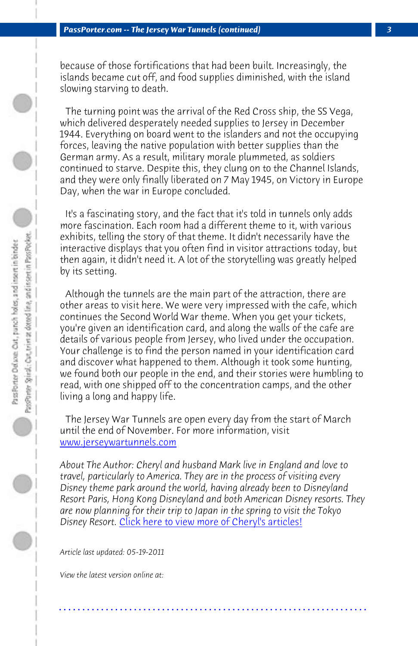because of those fortifications that had been built. Increasingly, the islands became cut off, and food supplies diminished, with the island slowing starving to death.

 The turning point was the arrival of the Red Cross ship, the SS Vega, which delivered desperately needed supplies to Jersey in December 1944. Everything on board went to the islanders and not the occupying forces, leaving the native population with better supplies than the German army. As a result, military morale plummeted, as soldiers continued to starve. Despite this, they clung on to the Channel Islands, and they were only finally liberated on 7 May 1945, on Victory in Europe Day, when the war in Europe concluded.

 It's a fascinating story, and the fact that it's told in tunnels only adds more fascination. Each room had a different theme to it, with various exhibits, telling the story of that theme. It didn't necessarily have the [interactive displays that you](http://www.jerseywartunnels.com) often find in visitor attractions today, but then again, it didn't need it. A lot of the storytelling was greatly helped by its setting.

 Although the tunnels are the main part of the attraction, there are other areas to visit here. We were very impressed with the cafe, which continues the Second World War theme. When you get your tickets, you're given a[n identification card, and along the walls of](http://www.passporter.com/articles/cheryl-pendry-featured-columnist.asp) the cafe are details of various people from Jersey, who lived under the occupation. Your challenge is to find the person named in your identification card and discover what happened to them. Although it took some hunting, we found both our people in the end, and their stories were humbling to read, with one shipped off to the concentration camps, and the other living a long and happy life.

 The Jersey War Tunnels are open every day from the start of March until the end of November. For more information, visit www.jerseywartunnels.com

*About The Author: Cheryl and husband Mark live in England and love to travel, particularly to America. They are in the process of visiting every Disney theme park around the world, having already been to Disneyland Resort Paris, Hong Kong Disneyland and both American Disney resorts. They are now planning for their trip to Japan in the spring to visit the Tokyo Disney Resort.* Click here to view more of Cheryl's articles!

**. . . . . . . . . . . . . . . . . . . . . . . . . . . . . . . . . . . . . . . . . . . . . . . . . . . . . . . . . . . . . . . . . .**

*Article last updated: 05-19-2011*

*View the latest version online at:*